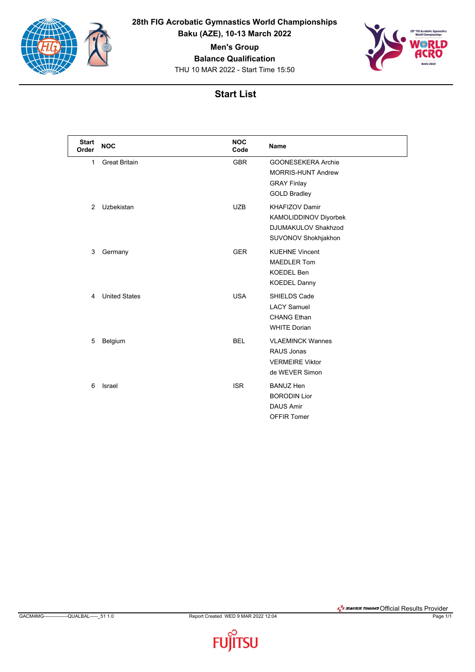

**28th FIG Acrobatic Gymnastics World Championships**

**Baku (AZE), 10-13 March 2022**

**Men's Group**

**Balance Qualification**

THU 10 MAR 2022 - Start Time 15:50



## **Start List**

| <b>Start</b><br>Order | <b>NOC</b>           | <b>NOC</b><br>Code | <b>Name</b>                                                                                                |
|-----------------------|----------------------|--------------------|------------------------------------------------------------------------------------------------------------|
| $\mathbf{1}$          | <b>Great Britain</b> | <b>GBR</b>         | <b>GOONESEKERA Archie</b><br><b>MORRIS-HUNT Andrew</b><br><b>GRAY Finlay</b><br><b>GOLD Bradley</b>        |
| 2                     | Uzbekistan           | <b>UZB</b>         | <b>KHAFIZOV Damir</b><br><b>KAMOLIDDINOV Diyorbek</b><br><b>DJUMAKULOV Shakhzod</b><br>SUVONOV Shokhjakhon |
| 3                     | Germany              | <b>GER</b>         | <b>KUEHNE Vincent</b><br><b>MAEDLER Tom</b><br><b>KOEDEL Ben</b><br><b>KOEDEL Danny</b>                    |
| 4                     | <b>United States</b> | <b>USA</b>         | SHIELDS Cade<br><b>LACY Samuel</b><br><b>CHANG Ethan</b><br><b>WHITE Dorian</b>                            |
| 5                     | Belgium              | <b>BEL</b>         | <b>VLAEMINCK Wannes</b><br>RAUS Jonas<br><b>VERMEIRE Viktor</b><br>de WEVER Simon                          |
| 6                     | Israel               | <b>ISR</b>         | <b>BANUZ Hen</b><br><b>BORODIN Lior</b><br><b>DAUS Amir</b><br><b>OFFIR Tomer</b>                          |